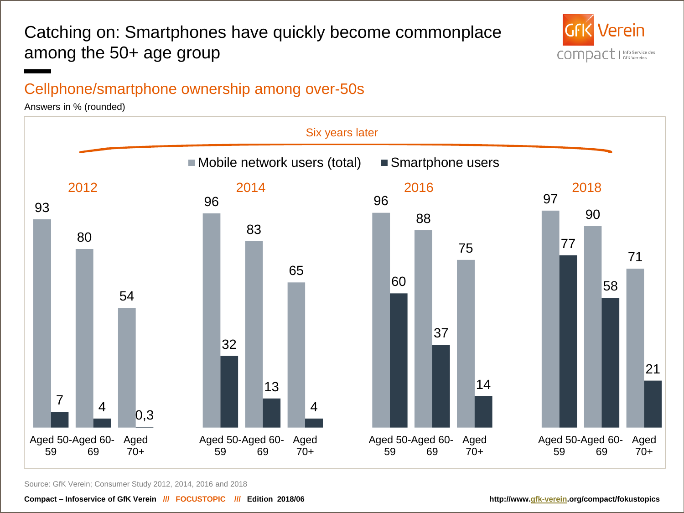## Catching on: Smartphones have quickly become commonplace among the 50+ age group



### Cellphone/smartphone ownership among over-50s

Answers in % (rounded)



Source: GfK Verein; Consumer Study 2012, 2014, 2016 and 2018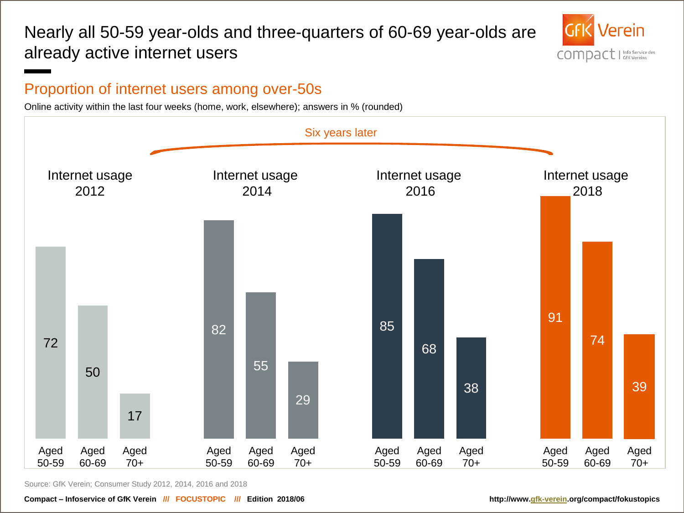### Nearly all 50-59 year-olds and three-quarters of 60-69 year-olds are already active internet users



#### Proportion of internet users among over-50s

Online activity within the last four weeks (home, work, elsewhere); answers in % (rounded)



Source: GfK Verein; Consumer Study 2012, 2014, 2016 and 2018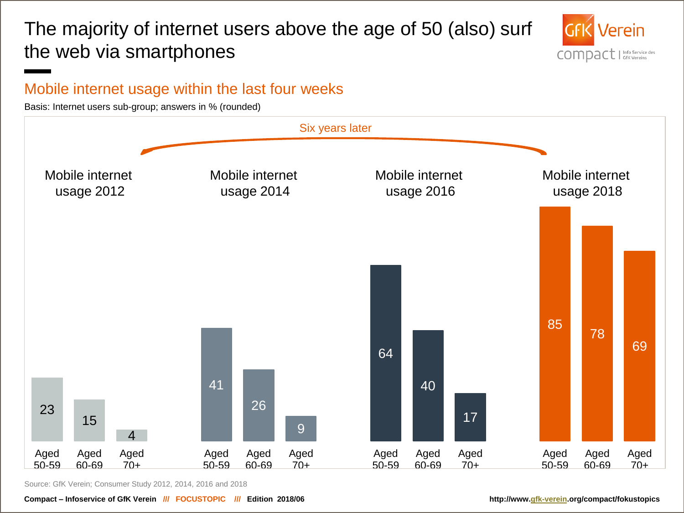# The majority of internet users above the age of 50 (also) surf the web via smartphones



#### Mobile internet usage within the last four weeks

Basis: Internet users sub-group; answers in % (rounded)



Source: GfK Verein; Consumer Study 2012, 2014, 2016 and 2018

**Compact – Infoservice of GfK Verein /// FOCUSTOPIC /// Edition 2018/06 http://www.[gfk-verein.](https://www.gfk-verein.org/en/compact/focustopics/50plus-smartphone-fever-takes-hold)org/compact/fokustopics**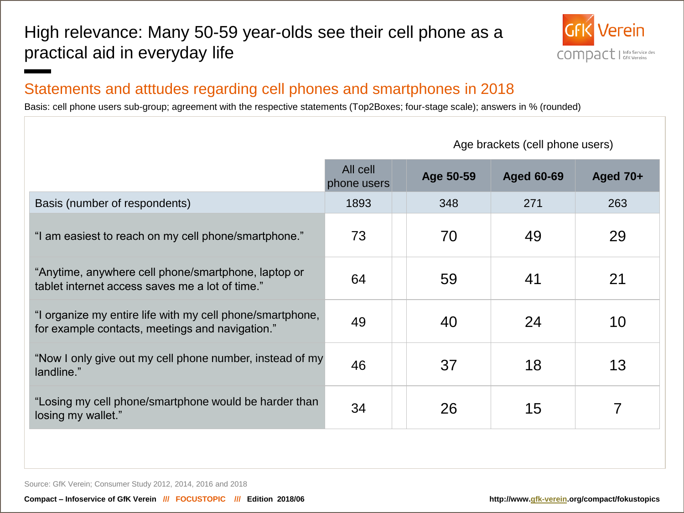### High relevance: Many 50-59 year-olds see their cell phone as a practical aid in everyday life



#### Statements and atttudes regarding cell phones and smartphones in 2018

Basis: cell phone users sub-group; agreement with the respective statements (Top2Boxes; four-stage scale); answers in % (rounded)

|                                                                                                              | All cell<br>phone users | Age 50-59 | <b>Aged 60-69</b> | Aged $70+$ |
|--------------------------------------------------------------------------------------------------------------|-------------------------|-----------|-------------------|------------|
| Basis (number of respondents)                                                                                | 1893                    | 348       | 271               | 263        |
| "I am easiest to reach on my cell phone/smartphone."                                                         | 73                      | 70        | 49                | 29         |
| "Anytime, anywhere cell phone/smartphone, laptop or<br>tablet internet access saves me a lot of time."       | 64                      | 59        | 41                | 21         |
| "I organize my entire life with my cell phone/smartphone,<br>for example contacts, meetings and navigation." | 49                      | 40        | 24                | 10         |
| "Now I only give out my cell phone number, instead of my<br>landline."                                       | 46                      | 37        | 18                | 13         |
| "Losing my cell phone/smartphone would be harder than<br>losing my wallet."                                  | 34                      | 26        | 15                | 7          |
|                                                                                                              |                         |           |                   |            |

Age brackets (cell phone users)

Source: GfK Verein; Consumer Study 2012, 2014, 2016 and 2018

**Compact – Infoservice of GfK Verein /// FOCUSTOPIC /// Edition 2018/06 http://www.[gfk-verein.](https://www.gfk-verein.org/en/compact/focustopics/50plus-smartphone-fever-takes-hold)org/compact/fokustopics**